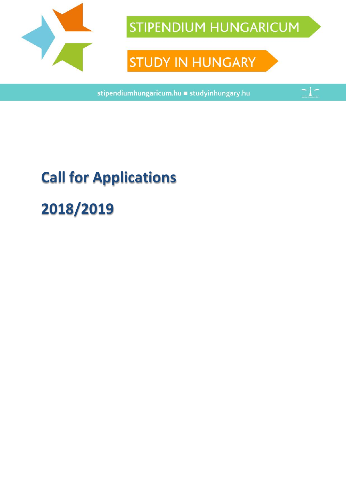

**STIPENDIUM HUNGARICUM** 

 $\frac{1}{\sqrt{2}}$ 

**STUDY IN HUNGARY** 

stipendiumhungaricum.hu = studyinhungary.hu

# **Call for Applications 2018/2019**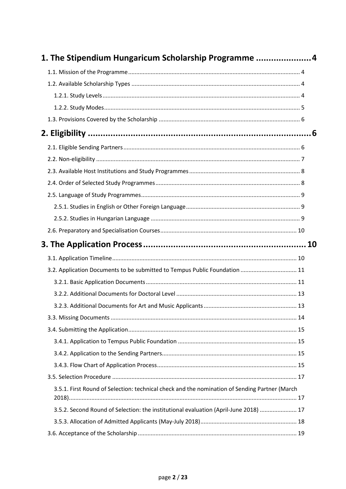| 1. The Stipendium Hungaricum Scholarship Programme 4                                          |  |
|-----------------------------------------------------------------------------------------------|--|
|                                                                                               |  |
|                                                                                               |  |
|                                                                                               |  |
|                                                                                               |  |
|                                                                                               |  |
|                                                                                               |  |
|                                                                                               |  |
|                                                                                               |  |
|                                                                                               |  |
|                                                                                               |  |
|                                                                                               |  |
|                                                                                               |  |
|                                                                                               |  |
|                                                                                               |  |
|                                                                                               |  |
|                                                                                               |  |
| 3.2. Application Documents to be submitted to Tempus Public Foundation  11                    |  |
|                                                                                               |  |
|                                                                                               |  |
|                                                                                               |  |
|                                                                                               |  |
|                                                                                               |  |
|                                                                                               |  |
|                                                                                               |  |
|                                                                                               |  |
|                                                                                               |  |
| 3.5.1. First Round of Selection: technical check and the nomination of Sending Partner (March |  |
| 3.5.2. Second Round of Selection: the institutional evaluation (April-June 2018)  17          |  |
|                                                                                               |  |
|                                                                                               |  |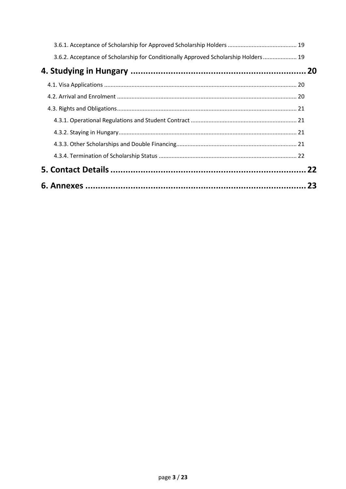| 3.6.2. Acceptance of Scholarship for Conditionally Approved Scholarship Holders 19 |  |
|------------------------------------------------------------------------------------|--|
|                                                                                    |  |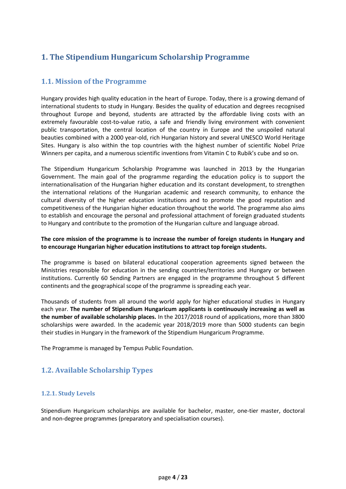# <span id="page-3-0"></span>**1. The Stipendium Hungaricum Scholarship Programme**

## <span id="page-3-1"></span>**1.1. Mission of the Programme**

Hungary provides high quality education in the heart of Europe. Today, there is a growing demand of international students to study in Hungary. Besides the quality of education and degrees recognised throughout Europe and beyond, students are attracted by the affordable living costs with an extremely favourable cost-to-value ratio, a safe and friendly living environment with convenient public transportation, the central location of the country in Europe and the unspoiled natural beauties combined with a 2000 year-old, rich Hungarian history and several UNESCO World Heritage Sites. Hungary is also within the top countries with the highest number of scientific Nobel Prize Winners per capita, and a numerous scientific inventions from Vitamin C to Rubik's cube and so on.

The Stipendium Hungaricum Scholarship Programme was launched in 2013 by the Hungarian Government. The main goal of the programme regarding the education policy is to support the internationalisation of the Hungarian higher education and its constant development, to strengthen the international relations of the Hungarian academic and research community, to enhance the cultural diversity of the higher education institutions and to promote the good reputation and competitiveness of the Hungarian higher education throughout the world. The programme also aims to establish and encourage the personal and professional attachment of foreign graduated students to Hungary and contribute to the promotion of the Hungarian culture and language abroad.

#### **The core mission of the programme is to increase the number of foreign students in Hungary and to encourage Hungarian higher education institutions to attract top foreign students.**

The programme is based on bilateral educational cooperation agreements signed between the Ministries responsible for education in the sending countries/territories and Hungary or between institutions. Currently 60 Sending Partners are engaged in the programme throughout 5 different continents and the geographical scope of the programme is spreading each year.

Thousands of students from all around the world apply for higher educational studies in Hungary each year. **The number of Stipendium Hungaricum applicants is continuously increasing as well as the number of available scholarship places.** In the 2017/2018 round of applications, more than 3800 scholarships were awarded. In the academic year 2018/2019 more than 5000 students can begin their studies in Hungary in the framework of the Stipendium Hungaricum Programme.

The Programme is managed by Tempus Public Foundation.

## <span id="page-3-2"></span>**1.2. Available Scholarship Types**

## <span id="page-3-3"></span>**1.2.1. Study Levels**

Stipendium Hungaricum scholarships are available for bachelor, master, one-tier master, doctoral and non-degree programmes (preparatory and specialisation courses).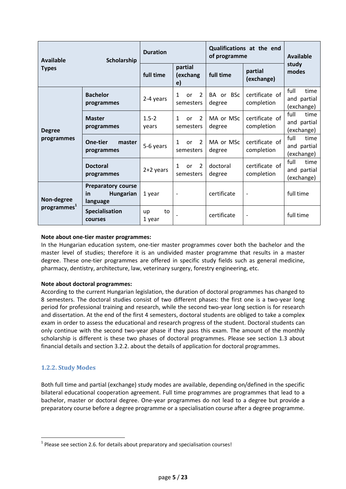| <b>Available</b>                            | Scholarship                                               | <b>Duration</b>    |                                                             | Qualifications at the end<br>of programme |                              | Available                                 |
|---------------------------------------------|-----------------------------------------------------------|--------------------|-------------------------------------------------------------|-------------------------------------------|------------------------------|-------------------------------------------|
| <b>Types</b>                                |                                                           | full time          | partial<br>(exchang<br>e)                                   | full time                                 | partial<br>(exchange)        | study<br>modes                            |
|                                             | <b>Bachelor</b><br>programmes                             | 2-4 years          | $\overline{2}$<br>1<br>or<br>semesters                      | or BSc<br><b>BA</b><br>degree             | certificate of<br>completion | full<br>time<br>and partial<br>(exchange) |
| <b>Degree</b>                               | <b>Master</b><br>programmes                               | $1.5 - 2$<br>vears | $\overline{2}$<br>1<br><sub>or</sub><br>semesters           | MA or MSc<br>degree                       | certificate of<br>completion | full<br>time<br>and partial<br>(exchange) |
| programmes                                  | One-tier<br>master<br>programmes                          | 5-6 years          | $\mathcal{L}$<br>$\mathbf{1}$<br><sub>or</sub><br>semesters | MA or MSc<br>degree                       | certificate of<br>completion | full<br>time<br>and partial<br>(exchange) |
| <b>Doctoral</b><br>programmes               |                                                           | $2+2$ years        | $\overline{2}$<br>$\mathbf{1}$<br><b>or</b><br>semesters    | doctoral<br>degree                        | certificate of<br>completion | full<br>time<br>and partial<br>(exchange) |
| in<br>Non-degree<br>programmes <sup>1</sup> | <b>Preparatory course</b><br><b>Hungarian</b><br>language | 1 year             | $\overline{\phantom{0}}$                                    | certificate                               | $\qquad \qquad -$            | full time                                 |
|                                             | Specialisation<br>courses                                 | to<br>up<br>1 year |                                                             | certificate                               |                              | full time                                 |

#### **Note about one-tier master programmes:**

In the Hungarian education system, one-tier master programmes cover both the bachelor and the master level of studies; therefore it is an undivided master programme that results in a master degree. These one-tier programmes are offered in specific study fields such as general medicine, pharmacy, dentistry, architecture, law, veterinary surgery, forestry engineering, etc.

#### **Note about doctoral programmes:**

According to the current Hungarian legislation, the duration of doctoral programmes has changed to 8 semesters. The doctoral studies consist of two different phases: the first one is a two-year long period for professional training and research, while the second two-year long section is for research and dissertation. At the end of the first 4 semesters, doctoral students are obliged to take a complex exam in order to assess the educational and research progress of the student. Doctoral students can only continue with the second two-year phase if they pass this exam. The amount of the monthly scholarship is different is these two phases of doctoral programmes. Please see section 1.3 about financial details and section 3.2.2. about the details of application for doctoral programmes.

## <span id="page-4-0"></span>**1.2.2. Study Modes**

**.** 

Both full time and partial (exchange) study modes are available, depending on/defined in the specific bilateral educational cooperation agreement. Full time programmes are programmes that lead to a bachelor, master or doctoral degree. One-year programmes do not lead to a degree but provide a preparatory course before a degree programme or a specialisation course after a degree programme.

 $<sup>1</sup>$  Please see section 2.6. for details about preparatory and specialisation courses!</sup>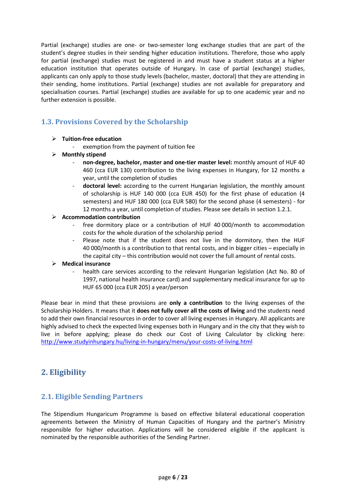Partial (exchange) studies are one- or two-semester long exchange studies that are part of the student's degree studies in their sending higher education institutions. Therefore, those who apply for partial (exchange) studies must be registered in and must have a student status at a higher education institution that operates outside of Hungary. In case of partial (exchange) studies, applicants can only apply to those study levels (bachelor, master, doctoral) that they are attending in their sending, home institutions. Partial (exchange) studies are not available for preparatory and specialisation courses. Partial (exchange) studies are available for up to one academic year and no further extension is possible.

## <span id="page-5-0"></span>**1.3. Provisions Covered by the Scholarship**

## **Tuition-free education**

- exemption from the payment of tuition fee
- **Monthly stipend**
	- **non-degree, bachelor, master and one-tier master level:** monthly amount of HUF 40 460 (cca EUR 130) contribution to the living expenses in Hungary, for 12 months a year, until the completion of studies
	- doctoral level: according to the current Hungarian legislation, the monthly amount of scholarship is HUF 140 000 (cca EUR 450) for the first phase of education (4 semesters) and HUF 180 000 (cca EUR 580) for the second phase (4 semesters) - for 12 months a year, until completion of studies. Please see details in section 1.2.1.

## **Accommodation contribution**

- free dormitory place or a contribution of HUF 40 000/month to accommodation costs for the whole duration of the scholarship period
- Please note that if the student does not live in the dormitory, then the HUF 40 000/month is a contribution to that rental costs, and in bigger cities – especially in the capital city – this contribution would not cover the full amount of rental costs.

## **Medical insurance**

health care services according to the relevant Hungarian legislation (Act No. 80 of 1997, national health insurance card) and supplementary medical insurance for up to HUF 65 000 (cca EUR 205) a year/person

Please bear in mind that these provisions are **only a contribution** to the living expenses of the Scholarship Holders. It means that it **does not fully cover all the costs of living** and the students need to add their own financial resources in order to cover all living expenses in Hungary. All applicants are highly advised to check the expected living expenses both in Hungary and in the city that they wish to live in before applying; please do check our Cost of Living Calculator by clicking here: <http://www.studyinhungary.hu/living-in-hungary/menu/your-costs-of-living.html>

# <span id="page-5-1"></span>**2. Eligibility**

## <span id="page-5-2"></span>**2.1. Eligible Sending Partners**

The Stipendium Hungaricum Programme is based on effective bilateral educational cooperation agreements between the Ministry of Human Capacities of Hungary and the partner's Ministry responsible for higher education. Applications will be considered eligible if the applicant is nominated by the responsible authorities of the Sending Partner.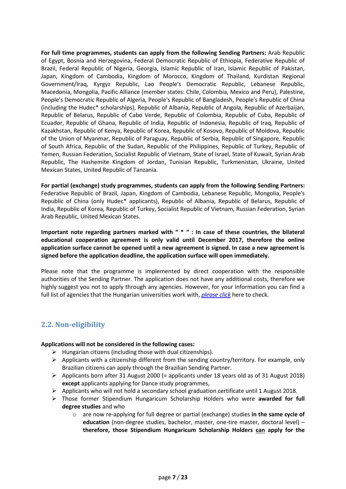**For full time programmes, students can apply from the following Sending Partners:** Arab Republic of Egypt, Bosnia and Herzegovina, Federal Democratic Republic of Ethiopia, Federative Republic of Brazil, Federal Republic of Nigeria, Georgia, Islamic Republic of Iran, Islamic Republic of Pakistan, Japan, Kingdom of Cambodia, Kingdom of Morocco, Kingdom of Thailand, Kurdistan Regional Government/Iraq, Kyrgyz Republic, Lao People's Democratic Republic, Lebanese Republic, Macedonia, Mongolia, Pacific Alliance (member states: Chile, Colombia, Mexico and Peru), Palestine, People's Democratic Republic of Algeria, People's Republic of Bangladesh, People's Republic of China (including the Hudec\* scholarships), Republic of Albania, Republic of Angola, Republic of Azerbaijan, Republic of Belarus, Republic of Cabo Verde, Republic of Colombia, Republic of Cuba, Republic of Ecuador, Republic of Ghana, Republic of India, Republic of Indonesia, Republic of Iraq, Republic of Kazakhstan, Republic of Kenya, Republic of Korea, Republic of Kosovo, Republic of Moldova, Republic of the Union of Myanmar, Republic of Paraguay, Republic of Serbia, Republic of Singapore, Republic of South Africa, Republic of the Sudan, Republic of the Philippines, Republic of Turkey, Republic of Yemen, Russian Federation, Socialist Republic of Vietnam, State of Israel, State of Kuwait, Syrian Arab Republic, The Hashemite Kingdom of Jordan, Tunisian Republic, Turkmenistan, Ukraine, United Mexican States, United Republic of Tanzania.

**For partial (exchange) study programmes, students can apply from the following Sending Partners:** Federative Republic of Brazil, Japan, Kingdom of Cambodia, Lebanese Republic, Mongolia, People's Republic of China (only Hudec\* applicants), Republic of Albania, Republic of Belarus, Republic of India, Republic of Korea, Republic of Turkey, Socialist Republic of Vietnam, Russian Federation, Syrian Arab Republic, United Mexican States.

**Important note regarding partners marked with " \* " : In case of these countries, the bilateral educational cooperation agreement is only valid until December 2017, therefore the online application surface cannot be opened until a new agreement is signed. In case a new agreement is signed before the application deadline, the application surface will open immediately.**

Please note that the programme is implemented by direct cooperation with the responsible authorities of the Sending Partner. The application does not have any additional costs, therefore we highly suggest you not to apply through any agencies. However, for your information you can find a full list of agencies that the Hungarian universities work with, *[please click](http://studyinhungary.hu/static/upload/foi-ugynoklista-2018-19.xlsx)* here to check.

## <span id="page-6-0"></span>**2.2. Non-eligibility**

#### **Applications will not be considered in the following cases:**

- $\triangleright$  Hungarian citizens (including those with dual citizenships).
- $\triangleright$  Applicants with a citizenship different from the sending country/territory. For example, only Brazilian citizens can apply through the Brazilian Sending Partner.
- $\triangleright$  Applicants born after 31 August 2000 (= applicants under 18 years old as of 31 August 2018) **except** applicants applying for Dance study programmes,
- $\triangleright$  Applicants who will not hold a secondary school graduation certificate until 1 August 2018,
- Those former Stipendium Hungaricum Scholarship Holders who were **awarded for full degree studies** and who
	- o are now re-applying for full degree or partial (exchange) studies **in the same cycle of education** (non-degree studies, bachelor, master, one-tire master, doctoral level) – **therefore, those Stipendium Hungaricum Scholarship Holders can apply for the**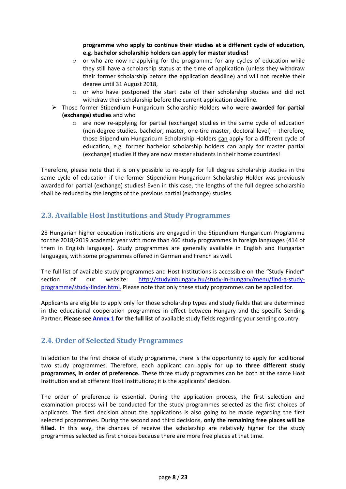**programme who apply to continue their studies at a different cycle of education, e.g. bachelor scholarship holders can apply for master studies!**

- $\circ$  or who are now re-applying for the programme for any cycles of education while they still have a scholarship status at the time of application (unless they withdraw their former scholarship before the application deadline) and will not receive their degree until 31 August 2018,
- o or who have postponed the start date of their scholarship studies and did not withdraw their scholarship before the current application deadline.
- Those former Stipendium Hungaricum Scholarship Holders who were **awarded for partial (exchange) studies** and who
	- $\circ$  are now re-applying for partial (exchange) studies in the same cycle of education (non-degree studies, bachelor, master, one-tire master, doctoral level) – therefore, those Stipendium Hungaricum Scholarship Holders can apply for a different cycle of education, e.g. former bachelor scholarship holders can apply for master partial (exchange) studies if they are now master students in their home countries!

Therefore, please note that it is only possible to re-apply for full degree scholarship studies in the same cycle of education if the former Stipendium Hungaricum Scholarship Holder was previously awarded for partial (exchange) studies! Even in this case, the lengths of the full degree scholarship shall be reduced by the lengths of the previous partial (exchange) studies.

## <span id="page-7-0"></span>**2.3. Available Host Institutions and Study Programmes**

28 Hungarian higher education institutions are engaged in the Stipendium Hungaricum Programme for the 2018/2019 academic year with more than 460 study programmes in foreign languages (414 of them in English language). Study programmes are generally available in English and Hungarian languages, with some programmes offered in German and French as well.

The full list of available study programmes and Host Institutions is accessible on the "Study Finder" section of our website: [http://studyinhungary.hu/study-in-hungary/menu/find-a-study](http://studyinhungary.hu/study-in-hungary/menu/find-a-study-programme/study-finder.html)[programme/study-finder.html.](http://studyinhungary.hu/study-in-hungary/menu/find-a-study-programme/study-finder.html) Please note that only these study programmes can be applied for.

Applicants are eligible to apply only for those scholarship types and study fields that are determined in the educational cooperation programmes in effect between Hungary and the specific Sending Partner. **Please se[e Annex 1](#page-22-1) for the full list** of available study fields regarding your sending country.

## <span id="page-7-1"></span>**2.4. Order of Selected Study Programmes**

In addition to the first choice of study programme, there is the opportunity to apply for additional two study programmes. Therefore, each applicant can apply for **up to three different study programmes, in order of preference.** These three study programmes can be both at the same Host Institution and at different Host Institutions; it is the applicants' decision.

The order of preference is essential. During the application process, the first selection and examination process will be conducted for the study programmes selected as the first choices of applicants. The first decision about the applications is also going to be made regarding the first selected programmes. During the second and third decisions, **only the remaining free places will be filled**. In this way, the chances of receive the scholarship are relatively higher for the study programmes selected as first choices because there are more free places at that time.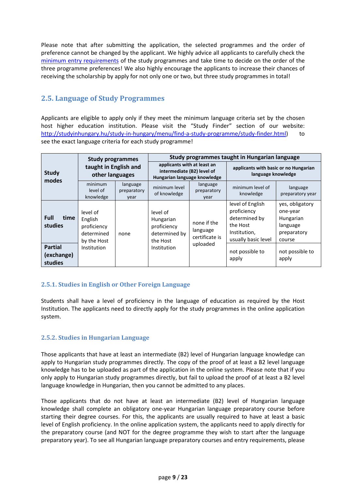Please note that after submitting the application, the selected programmes and the order of preference cannot be changed by the applicant. We highly advice all applicants to carefully check the [minimum entry requirements](http://studyinhungary.hu/study-in-hungary/menu/find-a-study-programme/study-finder.html) of the study programmes and take time to decide on the order of the three programme preferences! We also highly encourage the applicants to increase their chances of receiving the scholarship by apply for not only one or two, but three study programmes in total!

## <span id="page-8-0"></span>**2.5. Language of Study Programmes**

Applicants are eligible to apply only if they meet the minimum language criteria set by the chosen host higher education institution. Please visit the "Study Finder" section of our website: [http://studyinhungary.hu/study-in-hungary/menu/find-a-study-programme/study-finder.html\)](http://studyinhungary.hu/study-in-hungary/menu/find-a-study-programme/study-finder.html) to see the exact language criteria for each study programme!

|                                         | <b>Study programmes</b>                                         |                                 | Study programmes taught in Hungarian language                                             |                                           |                                                                                                     |                                                                               |  |
|-----------------------------------------|-----------------------------------------------------------------|---------------------------------|-------------------------------------------------------------------------------------------|-------------------------------------------|-----------------------------------------------------------------------------------------------------|-------------------------------------------------------------------------------|--|
| <b>Study</b><br>modes                   | taught in English and<br>other languages                        |                                 | applicants with at least an<br>intermediate (B2) level of<br>Hungarian language knowledge |                                           | applicants with basic or no Hungarian<br>language knowledge                                         |                                                                               |  |
|                                         | minimum<br>level of<br>knowledge                                | language<br>preparatory<br>year | minimum level<br>of knowledge                                                             | language<br>preparatory<br>year           | minimum level of<br>knowledge                                                                       | language<br>preparatory year                                                  |  |
| Full<br>time<br>studies                 | level of<br>English<br>proficiency<br>determined<br>by the Host | none                            | level of<br>Hungarian<br>proficiency<br>determined by<br>the Host                         | none if the<br>language<br>certificate is | level of English<br>proficiency<br>determined by<br>the Host<br>Institution,<br>usually basic level | yes, obligatory<br>one-year<br>Hungarian<br>language<br>preparatory<br>course |  |
| <b>Partial</b><br>(exchange)<br>studies | Institution                                                     |                                 | Institution                                                                               | uploaded                                  | not possible to<br>apply                                                                            | not possible to<br>apply                                                      |  |

## <span id="page-8-1"></span>**2.5.1. Studies in English or Other Foreign Language**

Students shall have a level of proficiency in the language of education as required by the Host Institution. The applicants need to directly apply for the study programmes in the online application system.

## <span id="page-8-2"></span>**2.5.2. Studies in Hungarian Language**

Those applicants that have at least an intermediate (B2) level of Hungarian language knowledge can apply to Hungarian study programmes directly. The copy of the proof of at least a B2 level language knowledge has to be uploaded as part of the application in the online system. Please note that if you only apply to Hungarian study programmes directly, but fail to upload the proof of at least a B2 level language knowledge in Hungarian, then you cannot be admitted to any places.

Those applicants that do not have at least an intermediate (B2) level of Hungarian language knowledge shall complete an obligatory one-year Hungarian language preparatory course before starting their degree courses. For this, the applicants are usually required to have at least a basic level of English proficiency. In the online application system, the applicants need to apply directly for the preparatory course (and NOT for the degree programme they wish to start after the language preparatory year). To see all Hungarian language preparatory courses and entry requirements, please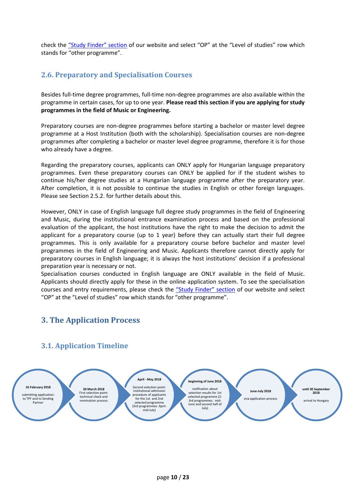check the ["Study Finder" section](http://studyinhungary.hu/study-in-hungary/menu/find-a-study-programme/study-finder.html) of our website and select "OP" at the "Level of studies" row which stands for "other programme".

## <span id="page-9-0"></span>**2.6. Preparatory and Specialisation Courses**

Besides full-time degree programmes, full-time non-degree programmes are also available within the programme in certain cases, for up to one year. **Please read this section if you are applying for study programmes in the field of Music or Engineering.** 

Preparatory courses are non-degree programmes before starting a bachelor or master level degree programme at a Host Institution (both with the scholarship). Specialisation courses are non-degree programmes after completing a bachelor or master level degree programme, therefore it is for those who already have a degree.

Regarding the preparatory courses, applicants can ONLY apply for Hungarian language preparatory programmes. Even these preparatory courses can ONLY be applied for if the student wishes to continue his/her degree studies at a Hungarian language programme after the preparatory year. After completion, it is not possible to continue the studies in English or other foreign languages. Please see Section 2.5.2. for further details about this.

However, ONLY in case of English language full degree study programmes in the field of Engineering and Music, during the institutional entrance examination process and based on the professional evaluation of the applicant, the host institutions have the right to make the decision to admit the applicant for a preparatory course (up to 1 year) before they can actually start their full degree programmes. This is only available for a preparatory course before bachelor and master level programmes in the field of Engineering and Music. Applicants therefore cannot directly apply for preparatory courses in English language; it is always the host institutions' decision if a professional preparation year is necessary or not.

Specialisation courses conducted in English language are ONLY available in the field of Music. Applicants should directly apply for these in the online application system. To see the specialisation courses and entry requirements, please check the ["Study Finder" section](http://studyinhungary.hu/study-in-hungary/menu/find-a-study-programme/study-finder.html) of our website and select "OP" at the "Level of studies" row which stands for "other programme".

# <span id="page-9-1"></span>**3. The Application Process**



## <span id="page-9-2"></span>**3.1. Application Timeline**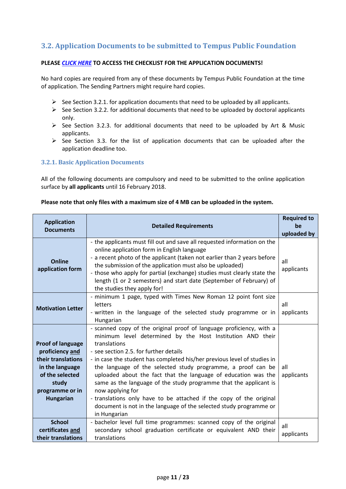## <span id="page-10-0"></span>**3.2. Application Documents to be submitted to Tempus Public Foundation**

#### **PLEASE** *[CLICK](http://studyinhungary.hu/study-in-hungary/menu/stipendium-hungaricum-scholarship-programme/call-for-applications-2018-2019.html) HERE* **TO ACCESS THE CHECKLIST FOR THE APPLICATION DOCUMENTS!**

No hard copies are required from any of these documents by Tempus Public Foundation at the time of application. The Sending Partners might require hard copies.

- $\triangleright$  See Section 3.2.1. for application documents that need to be uploaded by all applicants.
- $\triangleright$  See Section 3.2.2. for additional documents that need to be uploaded by doctoral applicants only.
- $\triangleright$  See Section 3.2.3. for additional documents that need to be uploaded by Art & Music applicants.
- $\triangleright$  See Section 3.3. for the list of application documents that can be uploaded after the application deadline too.

## <span id="page-10-1"></span>**3.2.1. Basic Application Documents**

All of the following documents are compulsory and need to be submitted to the online application surface by **all applicants** until 16 February 2018.

#### **Please note that only files with a maximum size of 4 MB can be uploaded in the system.**

| <b>Application</b><br><b>Documents</b>                                                                                                                  | <b>Detailed Requirements</b>                                                                                                                                                                                                                                                                                                                                                                                                                                                                                                                                                                                                                                     | <b>Required to</b><br>be<br>uploaded by |  |  |
|---------------------------------------------------------------------------------------------------------------------------------------------------------|------------------------------------------------------------------------------------------------------------------------------------------------------------------------------------------------------------------------------------------------------------------------------------------------------------------------------------------------------------------------------------------------------------------------------------------------------------------------------------------------------------------------------------------------------------------------------------------------------------------------------------------------------------------|-----------------------------------------|--|--|
| <b>Online</b><br>application form                                                                                                                       | - the applicants must fill out and save all requested information on the<br>online application form in English language<br>- a recent photo of the applicant (taken not earlier than 2 years before<br>the submission of the application must also be uploaded)<br>- those who apply for partial (exchange) studies must clearly state the<br>length (1 or 2 semesters) and start date (September of February) of<br>the studies they apply for!                                                                                                                                                                                                                 | all<br>applicants                       |  |  |
| <b>Motivation Letter</b>                                                                                                                                | - minimum 1 page, typed with Times New Roman 12 point font size<br>all<br>letters<br>- written in the language of the selected study programme or in<br>applicants<br>Hungarian                                                                                                                                                                                                                                                                                                                                                                                                                                                                                  |                                         |  |  |
| <b>Proof of language</b><br>proficiency and<br>their translations<br>in the language<br>of the selected<br>study<br>programme or in<br><b>Hungarian</b> | - scanned copy of the original proof of language proficiency, with a<br>minimum level determined by the Host Institution AND their<br>translations<br>- see section 2.5. for further details<br>- in case the student has completed his/her previous level of studies in<br>the language of the selected study programme, a proof can be<br>uploaded about the fact that the language of education was the<br>same as the language of the study programme that the applicant is<br>now applying for<br>- translations only have to be attached if the copy of the original<br>document is not in the language of the selected study programme or<br>in Hungarian | all<br>applicants                       |  |  |
| <b>School</b><br>certificates and<br>their translations                                                                                                 | - bachelor level full time programmes: scanned copy of the original<br>secondary school graduation certificate or equivalent AND their<br>translations                                                                                                                                                                                                                                                                                                                                                                                                                                                                                                           | all<br>applicants                       |  |  |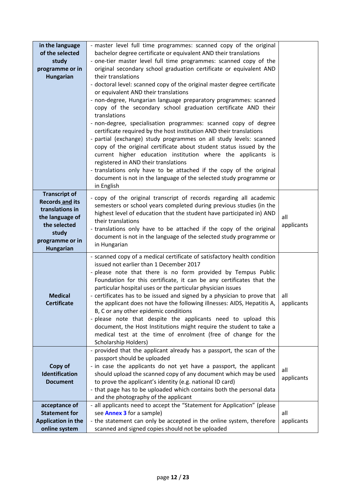| in the language<br>of the selected<br>study<br>programme or in<br><b>Hungarian</b>                                               | - master level full time programmes: scanned copy of the original<br>bachelor degree certificate or equivalent AND their translations<br>- one-tier master level full time programmes: scanned copy of the<br>original secondary school graduation certificate or equivalent AND<br>their translations<br>- doctoral level: scanned copy of the original master degree certificate<br>or equivalent AND their translations<br>- non-degree, Hungarian language preparatory programmes: scanned<br>copy of the secondary school graduation certificate AND their<br>translations<br>- non-degree, specialisation programmes: scanned copy of degree<br>certificate required by the host institution AND their translations<br>- partial (exchange) study programmes on all study levels: scanned<br>copy of the original certificate about student status issued by the<br>current higher education institution where the applicants is<br>registered in AND their translations<br>- translations only have to be attached if the copy of the original<br>document is not in the language of the selected study programme or |                   |
|----------------------------------------------------------------------------------------------------------------------------------|-----------------------------------------------------------------------------------------------------------------------------------------------------------------------------------------------------------------------------------------------------------------------------------------------------------------------------------------------------------------------------------------------------------------------------------------------------------------------------------------------------------------------------------------------------------------------------------------------------------------------------------------------------------------------------------------------------------------------------------------------------------------------------------------------------------------------------------------------------------------------------------------------------------------------------------------------------------------------------------------------------------------------------------------------------------------------------------------------------------------------------|-------------------|
| <b>Transcript of</b><br><b>Records and its</b><br>translations in<br>the language of<br>the selected<br>study<br>programme or in | in English<br>- copy of the original transcript of records regarding all academic<br>semesters or school years completed during previous studies (in the<br>highest level of education that the student have participated in) AND<br>their translations<br>- translations only have to be attached if the copy of the original<br>document is not in the language of the selected study programme or                                                                                                                                                                                                                                                                                                                                                                                                                                                                                                                                                                                                                                                                                                                        | all<br>applicants |
| <b>Hungarian</b><br><b>Medical</b><br><b>Certificate</b>                                                                         | in Hungarian<br>- scanned copy of a medical certificate of satisfactory health condition<br>issued not earlier than 1 December 2017<br>- please note that there is no form provided by Tempus Public<br>Foundation for this certificate, it can be any certificates that the<br>particular hospital uses or the particular physician issues<br>- certificates has to be issued and signed by a physician to prove that<br>the applicant does not have the following illnesses: AIDS, Hepatitis A,<br>B, C or any other epidemic conditions<br>- please note that despite the applicants need to upload this<br>document, the Host Institutions might require the student to take a<br>medical test at the time of enrolment (free of change for the<br>Scholarship Holders)                                                                                                                                                                                                                                                                                                                                                 | all<br>applicants |
| Copy of<br>Identification<br><b>Document</b>                                                                                     | - provided that the applicant already has a passport, the scan of the<br>passport should be uploaded<br>- in case the applicants do not yet have a passport, the applicant<br>should upload the scanned copy of any document which may be used<br>to prove the applicant's identity (e.g. national ID card)<br>- that page has to be uploaded which contains both the personal data<br>and the photography of the applicant                                                                                                                                                                                                                                                                                                                                                                                                                                                                                                                                                                                                                                                                                                 | all<br>applicants |
| acceptance of<br><b>Statement for</b><br><b>Application in the</b><br>online system                                              | - all applicants need to accept the "Statement for Application" (please<br>see <b>Annex 3</b> for a sample)<br>- the statement can only be accepted in the online system, therefore<br>scanned and signed copies should not be uploaded                                                                                                                                                                                                                                                                                                                                                                                                                                                                                                                                                                                                                                                                                                                                                                                                                                                                                     | all<br>applicants |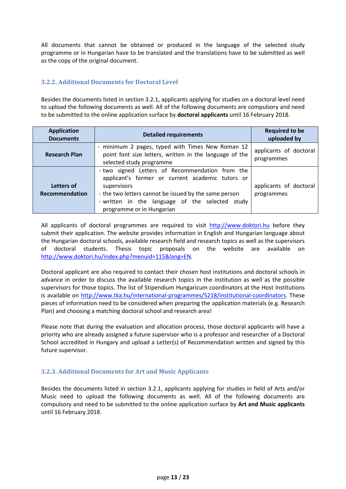All documents that cannot be obtained or produced in the language of the selected study programme or in Hungarian have to be translated and the translations have to be submitted as well as the copy of the original document.

#### <span id="page-12-0"></span>**3.2.2. Additional Documents for Doctoral Level**

Besides the documents listed in section 3.2.1, applicants applying for studies on a doctoral level need to upload the following documents as well. All of the following documents are compulsory and need to be submitted to the online application surface by **doctoral applicants** until 16 February 2018.

| <b>Application</b><br><b>Documents</b> | <b>Detailed requirements</b>                                                                                                                                                                                                                                | <b>Required to be</b><br>uploaded by |
|----------------------------------------|-------------------------------------------------------------------------------------------------------------------------------------------------------------------------------------------------------------------------------------------------------------|--------------------------------------|
| <b>Research Plan</b>                   | - minimum 2 pages, typed with Times New Roman 12<br>point font size letters, written in the language of the<br>selected study programme                                                                                                                     | applicants of doctoral<br>programmes |
| Letters of<br>Recommendation           | - two signed Letters of Recommendation from the<br>applicant's former or current academic tutors or<br>supervisors<br>- the two letters cannot be issued by the same person<br>- written in the language of the selected study<br>programme or in Hungarian | applicants of doctoral<br>programmes |

All applicants of doctoral programmes are required to visit [http://www.doktori.hu](http://www.doktori.hu/) before they submit their application. The website provides information in English and Hungarian language about the Hungarian doctoral schools, available research field and research topics as well as the supervisors of doctoral students. Thesis topic proposals on the website are available on [http://www.doktori.hu/index.php?menuid=115&lang=EN.](http://www.doktori.hu/index.php?menuid=115&lang=EN)

Doctoral applicant are also required to contact their chosen host institutions and doctoral schools in advance in order to discuss the available research topics in the institution as well as the possible supervisors for those topics. The list of Stipendium Hungaricum coordinators at the Host Institutions is available on [http://www.tka.hu/international-programmes/5218/institutional-coordinators.](http://www.tka.hu/international-programmes/5218/institutional-coordinators) These pieces of information need to be considered when preparing the application materials (e.g. Research Plan) and choosing a matching doctoral school and research area!

Please note that during the evaluation and allocation process, those doctoral applicants will have a priority who are already assigned a future supervisor who is a professor and researcher of a Doctoral School accredited in Hungary and upload a Letter(s) of Recommendation written and signed by this future supervisor.

## <span id="page-12-1"></span>**3.2.3. Additional Documents for Art and Music Applicants**

Besides the documents listed in section 3.2.1, applicants applying for studies in field of Arts and/or Music need to upload the following documents as well. All of the following documents are compulsory and need to be submitted to the online application surface by **Art and Music applicants** until 16 February 2018.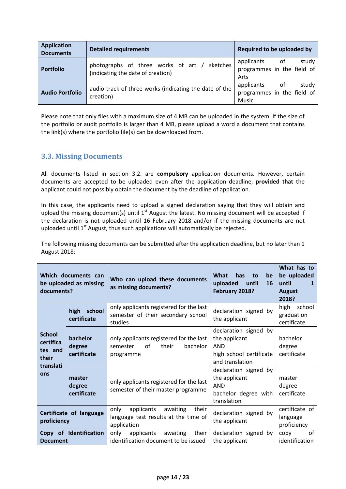| <b>Application</b><br><b>Documents</b> | <b>Detailed requirements</b>                                                      | Required to be uploaded by                                                                                                                                                   |
|----------------------------------------|-----------------------------------------------------------------------------------|------------------------------------------------------------------------------------------------------------------------------------------------------------------------------|
| <b>Portfolio</b>                       | photographs of three works of art / sketches<br>(indicating the date of creation) | applicants<br>study<br>of the contract of the contract of the contract of the contract of the contract of the contract of the contract<br>programmes in the field of<br>Arts |
| <b>Audio Portfolio</b>                 | audio track of three works (indicating the date of the<br>creation)               | applicants of<br>study<br>programmes in the field of<br>Music                                                                                                                |

Please note that only files with a maximum size of 4 MB can be uploaded in the system. If the size of the portfolio or audit portfolio is larger than 4 MB, please upload a word a document that contains the link(s) where the portfolio file(s) can be downloaded from.

## <span id="page-13-0"></span>**3.3. Missing Documents**

All documents listed in section 3.2. are **compulsory** application documents. However, certain documents are accepted to be uploaded even after the application deadline, **provided that** the applicant could not possibly obtain the document by the deadline of application.

In this case, the applicants need to upload a signed declaration saying that they will obtain and upload the missing document(s) until  $1<sup>st</sup>$  August the latest. No missing document will be accepted if the declaration is not uploaded until 16 February 2018 and/or if the missing documents are not uploaded until  $1<sup>st</sup>$  August, thus such applications will automatically be rejected.

The following missing documents can be submitted after the application deadline, but no later than 1 August 2018:

| Which documents can<br>be uploaded as missing<br>documents?                         |                                 | Who can upload these documents<br>as missing documents?                                        | What<br>has<br>to<br>be<br>uploaded<br>until<br><b>16</b><br>February 2018?                        | What has to<br>be uploaded<br>until<br>1<br><b>August</b><br>2018? |
|-------------------------------------------------------------------------------------|---------------------------------|------------------------------------------------------------------------------------------------|----------------------------------------------------------------------------------------------------|--------------------------------------------------------------------|
|                                                                                     | school<br>high<br>certificate   | only applicants registered for the last<br>semester of their secondary school<br>studies       | declaration signed by<br>the applicant                                                             | high<br>school<br>graduation<br>certificate                        |
| <b>School</b><br>bachelor<br>certifica<br>degree<br>tes and<br>certificate<br>their |                                 | only applicants registered for the last<br>οf<br>bachelor<br>their<br>semester<br>programme    | declaration signed by<br>the applicant<br><b>AND</b><br>high school certificate<br>and translation | bachelor<br>degree<br>certificate                                  |
| translati<br>ons                                                                    | master<br>degree<br>certificate | only applicants registered for the last<br>semester of their master programme                  | declaration signed by<br>the applicant<br><b>AND</b><br>bachelor degree with<br>translation        | master<br>degree<br>certificate                                    |
| Certificate of language<br>proficiency                                              |                                 | only<br>applicants<br>awaiting<br>their<br>language test results at the time of<br>application | declaration signed by<br>the applicant                                                             | certificate of<br>language<br>proficiency                          |
| Copy of Identification<br>only<br>applicants<br>awaiting<br><b>Document</b>         |                                 | their<br>identification document to be issued                                                  | declaration signed by<br>the applicant                                                             | 0f<br>copy<br>identification                                       |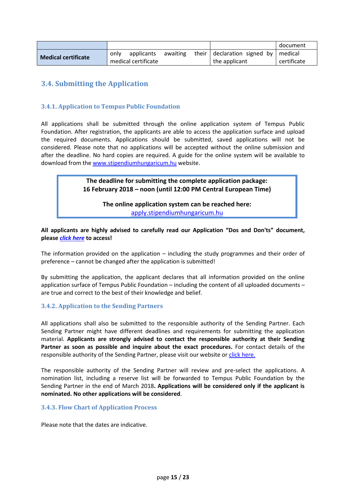|                            |      |                     |          |         |                       | document    |
|----------------------------|------|---------------------|----------|---------|-----------------------|-------------|
| <b>Medical certificate</b> | only | applicants          | awaiting | their l | declaration signed by | medical     |
|                            |      | medical certificate |          |         | the applicant         | certificate |

## <span id="page-14-0"></span>**3.4. Submitting the Application**

## <span id="page-14-1"></span>**3.4.1. Application to Tempus Public Foundation**

All applications shall be submitted through the online application system of Tempus Public Foundation. After registration, the applicants are able to access the application surface and upload the required documents. Applications should be submitted, saved applications will not be considered. Please note that no applications will be accepted without the online submission and after the deadline. No hard copies are required. A guide for the online system will be available to download from th[e www.stipendiumhungaricum.hu](http://www.stipendiumhungaricum.hu/) website.

> **The deadline for submitting the complete application package: 16 February 2018 – noon (until 12:00 PM Central European Time)**

> > **The online application system can be reached here:**  [apply.stipendiumhungaricum.hu](https://apply.stipendiumhungaricum.hu/)

#### **All applicants are highly advised to carefully read our Application "Dos and Don'ts" document, please** *[click here](http://studyinhungary.hu/study-in-hungary/menu/stipendium-hungaricum-scholarship-programme/call-for-applications-2018-2019.html)* **to access!**

The information provided on the application – including the study programmes and their order of preference – cannot be changed after the application is submitted!

By submitting the application, the applicant declares that all information provided on the online application surface of Tempus Public Foundation – including the content of all uploaded documents – are true and correct to the best of their knowledge and belief.

#### <span id="page-14-2"></span>**3.4.2. Application to the Sending Partners**

All applications shall also be submitted to the responsible authority of the Sending Partner. Each Sending Partner might have different deadlines and requirements for submitting the application material. **Applicants are strongly advised to contact the responsible authority at their Sending Partner as soon as possible and inquire about the exact procedures.** For contact details of the responsible authority of the Sending Partner, please visit our website or [click here.](http://studyinhungary.hu/study-in-hungary/menu/stipendium-hungaricum-scholarship-programme/sending-partners-and-available-study-programmes.html)

The responsible authority of the Sending Partner will review and pre-select the applications. A nomination list, including a reserve list will be forwarded to Tempus Public Foundation by the Sending Partner in the end of March 2018**. Applications will be considered only if the applicant is nominated. No other applications will be considered**.

#### <span id="page-14-3"></span>**3.4.3. Flow Chart of Application Process**

Please note that the dates are indicative.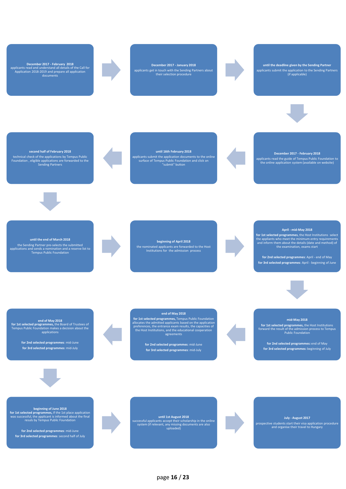

page **16** / **23**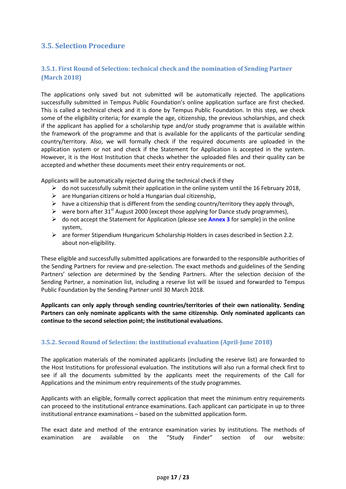## <span id="page-16-0"></span>**3.5. Selection Procedure**

## <span id="page-16-1"></span>**3.5.1. First Round of Selection: technical check and the nomination of Sending Partner (March 2018)**

The applications only saved but not submitted will be automatically rejected. The applications successfully submitted in Tempus Public Foundation's online application surface are first checked. This is called a technical check and it is done by Tempus Public Foundation. In this step, we check some of the eligibility criteria; for example the age, citizenship, the previous scholarships, and check if the applicant has applied for a scholarship type and/or study programme that is available within the framework of the programme and that is available for the applicants of the particular sending country/territory. Also, we will formally check if the required documents are uploaded in the application system or not and check if the Statement for Application is accepted in the system. However, it is the Host Institution that checks whether the uploaded files and their quality can be accepted and whether these documents meet their entry requirements or not.

Applicants will be automatically rejected during the technical check if they

- $\triangleright$  do not successfully submit their application in the online system until the 16 February 2018,
- $\triangleright$  are Hungarian citizens or hold a Hungarian dual citizenship,
- $\triangleright$  have a citizenship that is different from the sending country/territory they apply through,
- $\triangleright$  were born after 31<sup>st</sup> August 2000 (except those applying for Dance study programmes),
- do not accept the Statement for Application (please see **[Annex 3](#page-22-2)** for sample) in the online system,
- are former Stipendium Hungaricum Scholarship Holders in cases described in Section 2.2. about non-eligibility.

These eligible and successfully submitted applications are forwarded to the responsible authorities of the Sending Partners for review and pre-selection. The exact methods and guidelines of the Sending Partners' selection are determined by the Sending Partners. After the selection decision of the Sending Partner, a nomination list, including a reserve list will be issued and forwarded to Tempus Public Foundation by the Sending Partner until 30 March 2018.

**Applicants can only apply through sending countries/territories of their own nationality. Sending Partners can only nominate applicants with the same citizenship. Only nominated applicants can continue to the second selection point; the institutional evaluations.**

## <span id="page-16-2"></span>**3.5.2. Second Round of Selection: the institutional evaluation (April-June 2018)**

The application materials of the nominated applicants (including the reserve list) are forwarded to the Host Institutions for professional evaluation. The institutions will also run a formal check first to see if all the documents submitted by the applicants meet the requirements of the Call for Applications and the minimum entry requirements of the study programmes.

Applicants with an eligible, formally correct application that meet the minimum entry requirements can proceed to the institutional entrance examinations. Each applicant can participate in up to three institutional entrance examinations – based on the submitted application form.

The exact date and method of the entrance examination varies by institutions. The methods of examination are available on the "Study Finder" section of our website: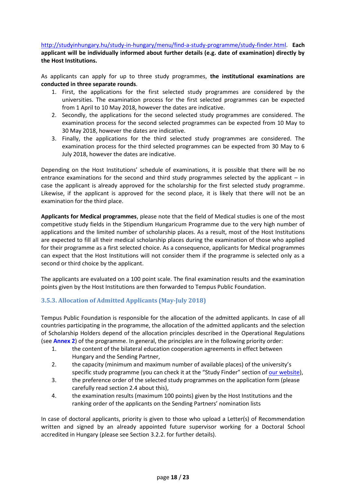[http://studyinhungary.hu/study-in-hungary/menu/find-a-study-programme/study-finder.html.](http://studyinhungary.hu/study-in-hungary/menu/find-a-study-programme/study-finder.html) **Each applicant will be individually informed about further details (e.g. date of examination) directly by the Host Institutions.**

As applicants can apply for up to three study programmes, **the institutional examinations are conducted in three separate rounds**.

- 1. First, the applications for the first selected study programmes are considered by the universities. The examination process for the first selected programmes can be expected from 1 April to 10 May 2018, however the dates are indicative.
- 2. Secondly, the applications for the second selected study programmes are considered. The examination process for the second selected programmes can be expected from 10 May to 30 May 2018, however the dates are indicative.
- 3. Finally, the applications for the third selected study programmes are considered. The examination process for the third selected programmes can be expected from 30 May to 6 July 2018, however the dates are indicative.

Depending on the Host Institutions' schedule of examinations, it is possible that there will be no entrance examinations for the second and third study programmes selected by the applicant – in case the applicant is already approved for the scholarship for the first selected study programme. Likewise, if the applicant is approved for the second place, it is likely that there will not be an examination for the third place.

**Applicants for Medical programmes**, please note that the field of Medical studies is one of the most competitive study fields in the Stipendium Hungaricum Programme due to the very high number of applications and the limited number of scholarship places. As a result, most of the Host Institutions are expected to fill all their medical scholarship places during the examination of those who applied for their programme as a first selected choice. As a consequence, applicants for Medical programmes can expect that the Host Institutions will not consider them if the programme is selected only as a second or third choice by the applicant.

The applicants are evaluated on a 100 point scale. The final examination results and the examination points given by the Host Institutions are then forwarded to Tempus Public Foundation.

## <span id="page-17-0"></span>**3.5.3. Allocation of Admitted Applicants (May-July 2018)**

Tempus Public Foundation is responsible for the allocation of the admitted applicants. In case of all countries participating in the programme, the allocation of the admitted applicants and the selection of Scholarship Holders depend of the allocation principles described in the Operational Regulations (see **[Annex 2](#page-22-3)**) of the programme. In general, the principles are in the following priority order:

- 1. the content of the bilateral education cooperation agreements in effect between Hungary and the Sending Partner,
- 2. the capacity (minimum and maximum number of available places) of the university's specific study programme (you can check it at the "Study Finder" section of [our website\)](http://studyinhungary.hu/study-in-hungary/menu/find-a-study-programme/study-finder.html),
- 3. the preference order of the selected study programmes on the application form (please carefully read section 2.4 about this),
- 4. the examination results (maximum 100 points) given by the Host Institutions and the ranking order of the applicants on the Sending Partners' nomination lists

In case of doctoral applicants, priority is given to those who upload a Letter(s) of Recommendation written and signed by an already appointed future supervisor working for a Doctoral School accredited in Hungary (please see Section 3.2.2. for further details).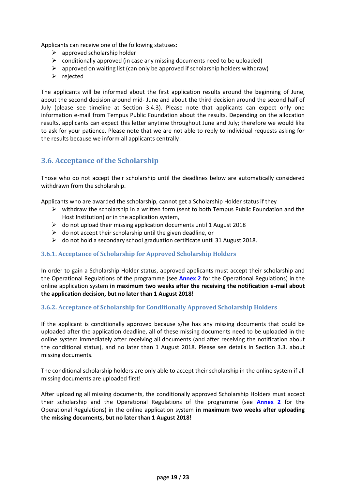Applicants can receive one of the following statuses:

- $\triangleright$  approved scholarship holder
- $\triangleright$  conditionally approved (in case any missing documents need to be uploaded)
- $\triangleright$  approved on waiting list (can only be approved if scholarship holders withdraw)
- $\triangleright$  rejected

The applicants will be informed about the first application results around the beginning of June, about the second decision around mid- June and about the third decision around the second half of July (please see timeline at Section 3.4.3). Please note that applicants can expect only one information e-mail from Tempus Public Foundation about the results. Depending on the allocation results, applicants can expect this letter anytime throughout June and July; therefore we would like to ask for your patience. Please note that we are not able to reply to individual requests asking for the results because we inform all applicants centrally!

## <span id="page-18-0"></span>**3.6. Acceptance of the Scholarship**

Those who do not accept their scholarship until the deadlines below are automatically considered withdrawn from the scholarship.

Applicants who are awarded the scholarship, cannot get a Scholarship Holder status if they

- $\triangleright$  withdraw the scholarship in a written form (sent to both Tempus Public Foundation and the Host Institution) or in the application system,
- $\triangleright$  do not upload their missing application documents until 1 August 2018
- $\triangleright$  do not accept their scholarship until the given deadline, or
- $\triangleright$  do not hold a secondary school graduation certificate until 31 August 2018.

#### <span id="page-18-1"></span>**3.6.1. Acceptance of Scholarship for Approved Scholarship Holders**

In order to gain a Scholarship Holder status, approved applicants must accept their scholarship and the Operational Regulations of the programme (see **[Annex 2](#page-22-3)** for the Operational Regulations) in the online application system **in maximum two weeks after the receiving the notification e-mail about the application decision, but no later than 1 August 2018!**

#### <span id="page-18-2"></span>**3.6.2. Acceptance of Scholarship for Conditionally Approved Scholarship Holders**

If the applicant is conditionally approved because s/he has any missing documents that could be uploaded after the application deadline, all of these missing documents need to be uploaded in the online system immediately after receiving all documents (and after receiving the notification about the conditional status), and no later than 1 August 2018. Please see details in Section 3.3. about missing documents.

The conditional scholarship holders are only able to accept their scholarship in the online system if all missing documents are uploaded first!

After uploading all missing documents, the conditionally approved Scholarship Holders must accept their scholarship and the Operational Regulations of the programme (see **[Annex 2](#page-22-3)** for the Operational Regulations) in the online application system **in maximum two weeks after uploading the missing documents, but no later than 1 August 2018!**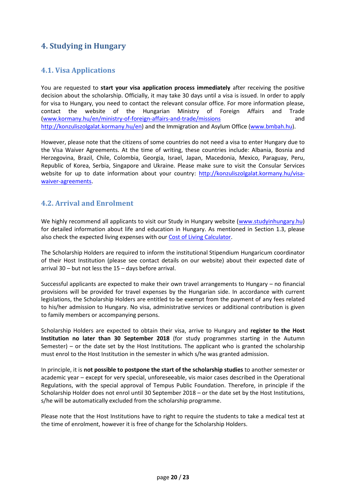# <span id="page-19-0"></span>**4. Studying in Hungary**

## <span id="page-19-1"></span>**4.1. Visa Applications**

You are requested to **start your visa application process immediately** after receiving the positive decision about the scholarship. Officially, it may take 30 days until a visa is issued. In order to apply for visa to Hungary, you need to contact the relevant consular office. For more information please, contact the website of the Hungarian Ministry of Foreign Affairs and Trade [\(www.kormany.hu/en/ministry-of-foreign-affairs-and-trade/missions](http://www.kormany.hu/en/ministry-of-foreign-affairs-and-trade/missions) and [http://konzuliszolgalat.kormany.hu/en\)](http://konzuliszolgalat.kormany.hu/en) and the Immigration and Asylum Office [\(www.bmbah.hu\)](http://www.bmbah.hu/).

However, please note that the citizens of some countries do not need a visa to enter Hungary due to the Visa Waiver Agreements. At the time of writing, these countries include: Albania, Bosnia and Herzegovina, Brazil, Chile, Colombia, Georgia, Israel, Japan, Macedonia, Mexico, Paraguay, Peru, Republic of Korea, Serbia, Singapore and Ukraine. Please make sure to visit the Consular Services website for up to date information about your country: [http://konzuliszolgalat.kormany.hu/visa](http://konzuliszolgalat.kormany.hu/visa-waiver-agreements)[waiver-agreements.](http://konzuliszolgalat.kormany.hu/visa-waiver-agreements)

## <span id="page-19-2"></span>**4.2. Arrival and Enrolment**

We highly recommend all applicants to visit our Study in Hungary website [\(www.studyinhungary.hu\)](http://www.studyinhungary.hu/) for detailed information about life and education in Hungary. As mentioned in Section 1.3, please also check the expected living expenses with our [Cost of Living Calculator.](http://www.studyinhungary.hu/living-in-hungary/menu/your-costs-of-living.html)

The Scholarship Holders are required to inform the institutional Stipendium Hungaricum coordinator of their Host Institution (please see contact details on our website) about their expected date of arrival 30 – but not less the 15 – days before arrival.

Successful applicants are expected to make their own travel arrangements to Hungary – no financial provisions will be provided for travel expenses by the Hungarian side. In accordance with current legislations, the Scholarship Holders are entitled to be exempt from the payment of any fees related to his/her admission to Hungary. No visa, administrative services or additional contribution is given to family members or accompanying persons.

Scholarship Holders are expected to obtain their visa, arrive to Hungary and **register to the Host Institution no later than 30 September 2018** (for study programmes starting in the Autumn Semester) – or the date set by the Host Institutions. The applicant who is granted the scholarship must enrol to the Host Institution in the semester in which s/he was granted admission.

In principle, it is **not possible to postpone the start of the scholarship studies** to another semester or academic year – except for very special, unforeseeable, vis maior cases described in the Operational Regulations, with the special approval of Tempus Public Foundation. Therefore, in principle if the Scholarship Holder does not enrol until 30 September 2018 – or the date set by the Host Institutions, s/he will be automatically excluded from the scholarship programme.

Please note that the Host Institutions have to right to require the students to take a medical test at the time of enrolment, however it is free of change for the Scholarship Holders.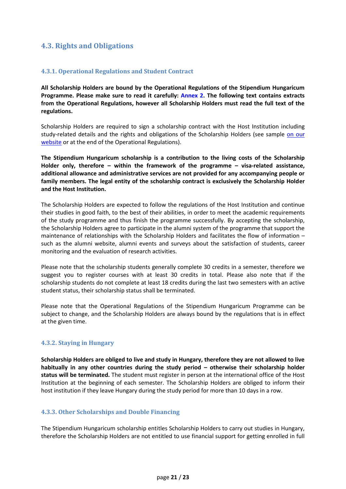## <span id="page-20-0"></span>**4.3. Rights and Obligations**

## <span id="page-20-1"></span>**4.3.1. Operational Regulations and Student Contract**

**All Scholarship Holders are bound by the Operational Regulations of the Stipendium Hungaricum Programme. Please make sure to read it carefully: [Annex 2.](#page-22-3) The following text contains extracts from the Operational Regulations, however all Scholarship Holders must read the full text of the regulations.**

Scholarship Holders are required to sign a scholarship contract with the Host Institution including study-related details and the rights and obligations of the Scholarship Holders (see sample on our [website](http://studyinhungary.hu/study-in-hungary/menu/stipendium-hungaricum-scholarship-programme/rights-and-obligations.html) or at the end of the Operational Regulations).

**The Stipendium Hungaricum scholarship is a contribution to the living costs of the Scholarship Holder only, therefore – within the framework of the programme – visa-related assistance, additional allowance and administrative services are not provided for any accompanying people or family members. The legal entity of the scholarship contract is exclusively the Scholarship Holder and the Host Institution.**

The Scholarship Holders are expected to follow the regulations of the Host Institution and continue their studies in good faith, to the best of their abilities, in order to meet the academic requirements of the study programme and thus finish the programme successfully. By accepting the scholarship, the Scholarship Holders agree to participate in the alumni system of the programme that support the maintenance of relationships with the Scholarship Holders and facilitates the flow of information – such as the alumni website, alumni events and surveys about the satisfaction of students, career monitoring and the evaluation of research activities.

Please note that the scholarship students generally complete 30 credits in a semester, therefore we suggest you to register courses with at least 30 credits in total. Please also note that if the scholarship students do not complete at least 18 credits during the last two semesters with an active student status, their scholarship status shall be terminated.

Please note that the Operational Regulations of the Stipendium Hungaricum Programme can be subject to change, and the Scholarship Holders are always bound by the regulations that is in effect at the given time.

## <span id="page-20-2"></span>**4.3.2. Staying in Hungary**

**Scholarship Holders are obliged to live and study in Hungary, therefore they are not allowed to live habitually in any other countries during the study period – otherwise their scholarship holder status will be terminated.** The student must register in person at the international office of the Host Institution at the beginning of each semester. The Scholarship Holders are obliged to inform their host institution if they leave Hungary during the study period for more than 10 days in a row.

## <span id="page-20-3"></span>**4.3.3. Other Scholarships and Double Financing**

The Stipendium Hungaricum scholarship entitles Scholarship Holders to carry out studies in Hungary, therefore the Scholarship Holders are not entitled to use financial support for getting enrolled in full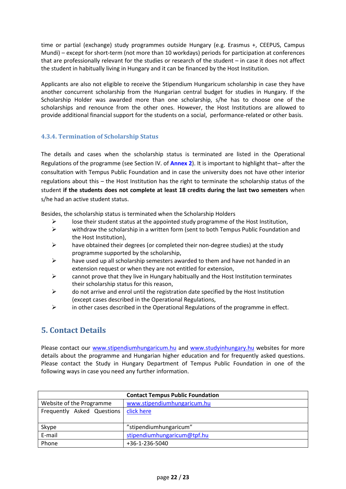time or partial (exchange) study programmes outside Hungary (e.g. Erasmus +, CEEPUS, Campus Mundi) – except for short-term (not more than 10 workdays) periods for participation at conferences that are professionally relevant for the studies or research of the student – in case it does not affect the student in habitually living in Hungary and it can be financed by the Host Institution.

Applicants are also not eligible to receive the Stipendium Hungaricum scholarship in case they have another concurrent scholarship from the Hungarian central budget for studies in Hungary. If the Scholarship Holder was awarded more than one scholarship, s/he has to choose one of the scholarships and renounce from the other ones. However, the Host Institutions are allowed to provide additional financial support for the students on a social, performance-related or other basis.

## <span id="page-21-0"></span>**4.3.4. Termination of Scholarship Status**

The details and cases when the scholarship status is terminated are listed in the Operational Regulations of the programme (see Section IV. of **[Annex 2](#page-22-3)**). It is important to highlight that– after the consultation with Tempus Public Foundation and in case the university does not have other interior regulations about this – the Host Institution has the right to terminate the scholarship status of the student **if the students does not complete at least 18 credits during the last two semesters** when s/he had an active student status.

Besides, the scholarship status is terminated when the Scholarship Holders

- $\triangleright$  lose their student status at the appointed study programme of the Host Institution,
- $\triangleright$  withdraw the scholarship in a written form (sent to both Tempus Public Foundation and the Host Institution),
- $\triangleright$  have obtained their degrees (or completed their non-degree studies) at the study programme supported by the scholarship,
- $\triangleright$  have used up all scholarship semesters awarded to them and have not handed in an extension request or when they are not entitled for extension,
- $\triangleright$  cannot prove that they live in Hungary habitually and the Host Institution terminates their scholarship status for this reason,
- $\triangleright$  do not arrive and enrol until the registration date specified by the Host Institution (except cases described in the Operational Regulations,
- $\triangleright$  in other cases described in the Operational Regulations of the programme in effect.

# <span id="page-21-1"></span>**5. Contact Details**

Please contact our [www.stipendiumhungaricum.hu](http://www.stipendiumhungaricum.hu/) and [www.studyinhungary.hu](http://www.studyinhungary.hu/) websites for more details about the programme and Hungarian higher education and for frequently asked questions. Please contact the Study in Hungary Department of Tempus Public Foundation in one of the following ways in case you need any further information.

|                            | <b>Contact Tempus Public Foundation</b> |
|----------------------------|-----------------------------------------|
| Website of the Programme   | www.stipendiumhungaricum.hu             |
| Frequently Asked Questions | click here                              |
| Skype                      | "stipendiumhungaricum"                  |
| E-mail                     | stipendiumhungaricum@tpf.hu             |
| Phone                      | +36-1-236-5040                          |